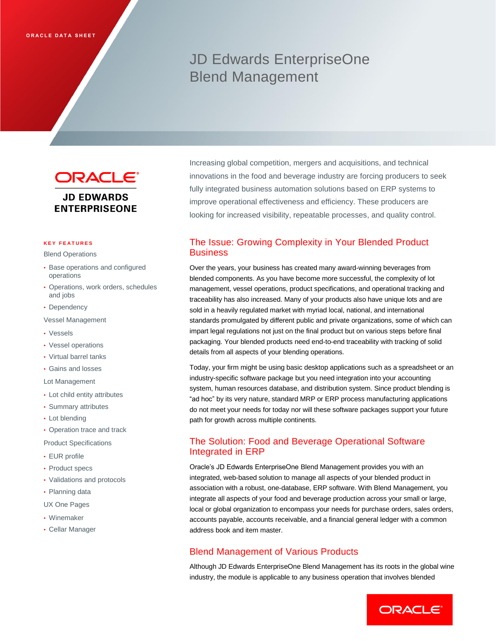# JD Edwards EnterpriseOne Blend Management

**ORACLE® JD EDWARDS ENTERPRISEONE** 

#### **K E Y F E A T U R E S**

Blend Operations

- Base operations and configured operations
- Operations, work orders, schedules and jobs
- Dependency
- Vessel Management
- Vessels
- Vessel operations
- Virtual barrel tanks
- Gains and losses

Lot Management

- Lot child entity attributes
- Summary attributes
- Lot blending
- Operation trace and track

Product Specifications

- EUR profile
- Product specs
- Validations and protocols
- Planning data
- UX One Pages
- Winemaker
- Cellar Manager

Increasing global competition, mergers and acquisitions, and technical innovations in the food and beverage industry are forcing producers to seek fully integrated business automation solutions based on ERP systems to improve operational effectiveness and efficiency. These producers are looking for increased visibility, repeatable processes, and quality control.

# The Issue: Growing Complexity in Your Blended Product **Business**

Over the years, your business has created many award-winning beverages from blended components. As you have become more successful, the complexity of lot management, vessel operations, product specifications, and operational tracking and traceability has also increased. Many of your products also have unique lots and are sold in a heavily regulated market with myriad local, national, and international standards promulgated by different public and private organizations, some of which can impart legal regulations not just on the final product but on various steps before final packaging. Your blended products need end-to-end traceability with tracking of solid details from all aspects of your blending operations.

Today, your firm might be using basic desktop applications such as a spreadsheet or an industry-specific software package but you need integration into your accounting system, human resources database, and distribution system. Since product blending is "ad hoc" by its very nature, standard MRP or ERP process manufacturing applications do not meet your needs for today nor will these software packages support your future path for growth across multiple continents.

## The Solution: Food and Beverage Operational Software Integrated in ERP

Oracle's JD Edwards EnterpriseOne Blend Management provides you with an integrated, web-based solution to manage all aspects of your blended product in association with a robust, one-database, ERP software. With Blend Management, you integrate all aspects of your food and beverage production across your small or large, local or global organization to encompass your needs for purchase orders, sales orders, accounts payable, accounts receivable, and a financial general ledger with a common address book and item master.

### Blend Management of Various Products

Although JD Edwards EnterpriseOne Blend Management has its roots in the global wine industry, the module is applicable to any business operation that involves blended

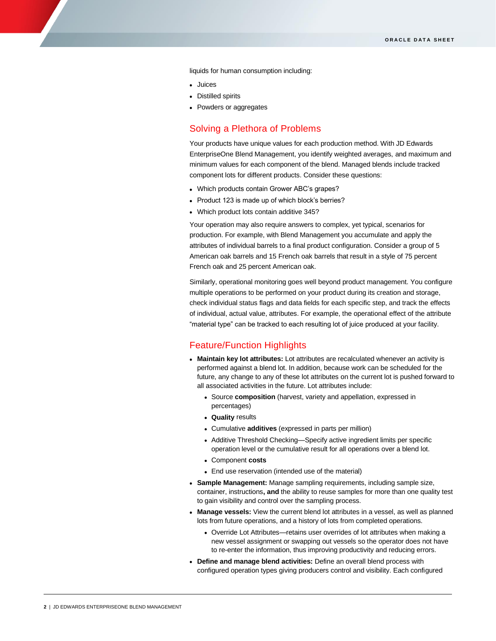liquids for human consumption including:

Juices

ī

- Distilled spirits
- Powders or aggregates

### Solving a Plethora of Problems

Your products have unique values for each production method. With JD Edwards EnterpriseOne Blend Management, you identify weighted averages, and maximum and minimum values for each component of the blend. Managed blends include tracked component lots for different products. Consider these questions:

- Which products contain Grower ABC's grapes?
- Product 123 is made up of which block's berries?
- Which product lots contain additive 345?

Your operation may also require answers to complex, yet typical, scenarios for production. For example, with Blend Management you accumulate and apply the attributes of individual barrels to a final product configuration. Consider a group of 5 American oak barrels and 15 French oak barrels that result in a style of 75 percent French oak and 25 percent American oak.

Similarly, operational monitoring goes well beyond product management. You configure multiple operations to be performed on your product during its creation and storage, check individual status flags and data fields for each specific step, and track the effects of individual, actual value, attributes. For example, the operational effect of the attribute "material type" can be tracked to each resulting lot of juice produced at your facility.

#### Feature/Function Highlights

- **Maintain key lot attributes:** Lot attributes are recalculated whenever an activity is performed against a blend lot. In addition, because work can be scheduled for the future, any change to any of these lot attributes on the current lot is pushed forward to all associated activities in the future. Lot attributes include:
	- Source **composition** (harvest, variety and appellation, expressed in percentages)
	- **Quality** results
	- Cumulative **additives** (expressed in parts per million)
	- Additive Threshold Checking—Specify active ingredient limits per specific operation level or the cumulative result for all operations over a blend lot.
	- Component **costs**
	- End use reservation (intended use of the material)
- **Sample Management:** Manage sampling requirements, including sample size, container, instructions**, and** the ability to reuse samples for more than one quality test to gain visibility and control over the sampling process.
- **Manage vessels:** View the current blend lot attributes in a vessel, as well as planned lots from future operations, and a history of lots from completed operations.
	- Override Lot Attributes—retains user overrides of lot attributes when making a new vessel assignment or swapping out vessels so the operator does not have to re-enter the information, thus improving productivity and reducing errors.
- **Define and manage blend activities:** Define an overall blend process with configured operation types giving producers control and visibility. Each configured